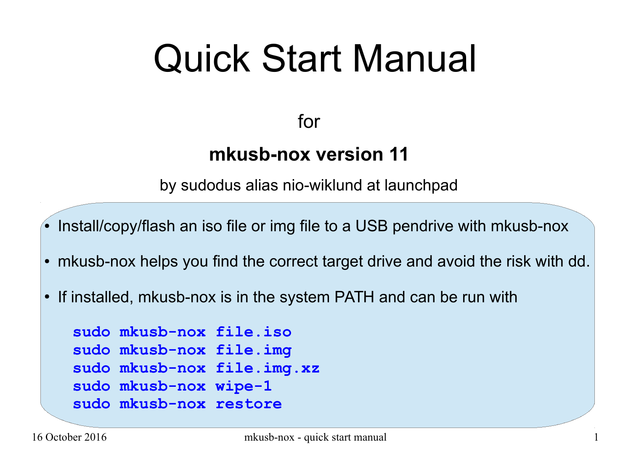# Quick Start Manual

for

### **mkusb-nox version 11**

by sudodus alias nio-wiklund at launchpad

• Install/copy/flash an iso file or img file to a USB pendrive with mkusb-nox

- mkusb-nox helps you find the correct target drive and avoid the risk with dd.
- If installed, mkusb-nox is in the system PATH and can be run with

```
sudo mkusb-nox file.iso
sudo mkusb-nox file.img
sudo mkusb-nox file.img.xz
sudo mkusb-nox wipe-1
sudo mkusb-nox restore
```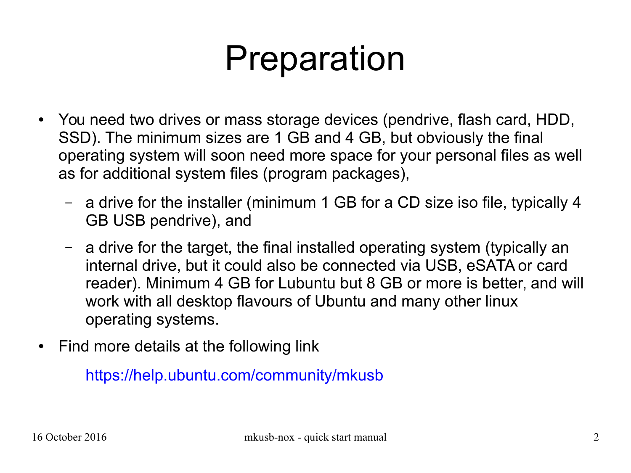## Preparation

- You need two drives or mass storage devices (pendrive, flash card, HDD, SSD). The minimum sizes are 1 GB and 4 GB, but obviously the final operating system will soon need more space for your personal files as well as for additional system files (program packages),
	- a drive for the installer (minimum 1 GB for a CD size iso file, typically 4 GB USB pendrive), and
	- a drive for the target, the final installed operating system (typically an internal drive, but it could also be connected via USB, eSATA or card reader). Minimum 4 GB for Lubuntu but 8 GB or more is better, and will work with all desktop flavours of Ubuntu and many other linux operating systems.
- Find more details at the following link

<https://help.ubuntu.com/community/mkusb>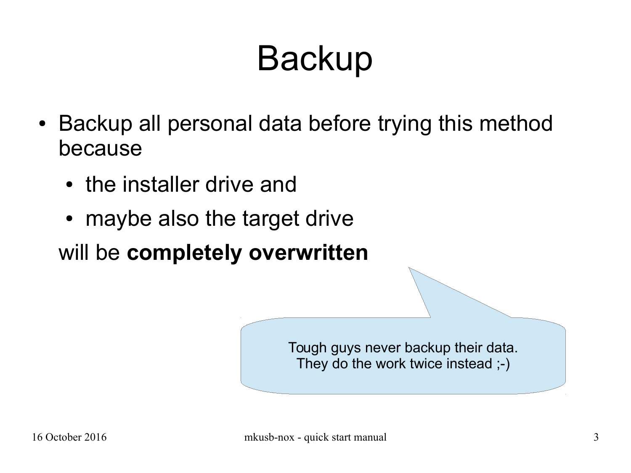## **Backup**

- Backup all personal data before trying this method because
	- the installer drive and
	- maybe also the target drive

will be **completely overwritten**

Tough guys never backup their data. They do the work twice instead ;-)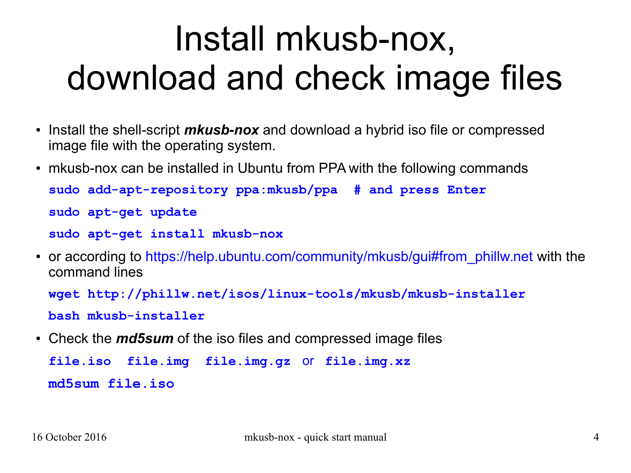## Install mkusb-nox, download and check image files

- Install the shell-script *mkusb-nox* and download a hybrid iso file or compressed image file with the operating system.
- mkusb-nox can be installed in Ubuntu from PPA with the following commands **sudo add-apt-repository ppa:mkusb/ppa # and press Enter sudo apt-get update sudo apt-get install mkusb-nox**
- or according to [https://help.ubuntu.com/community/mkusb/gui#from\\_phillw.net](https://help.ubuntu.com/community/mkusb/gui#from_phillw.net) with the command lines

```
wget http://phillw.net/isos/linux-tools/mkusb/mkusb-installer
```
**bash mkusb-installer**

• Check the *md5sum* of the iso files and compressed image files

**file.iso file.img file.img.gz** or **file.img.xz md5sum file.iso**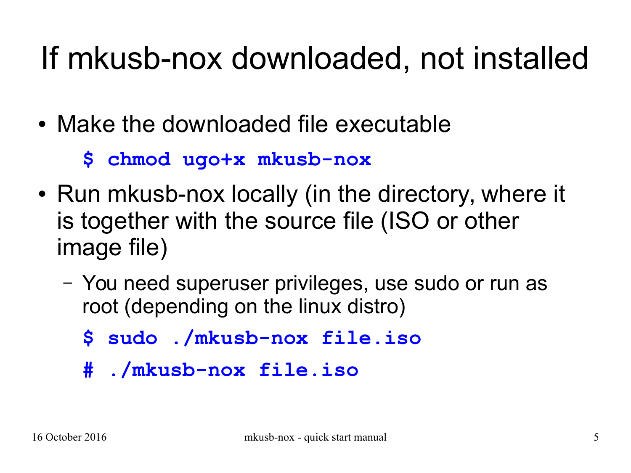### If mkusb-nox downloaded, not installed

- Make the downloaded file executable
	- **\$ chmod ugo+x mkusb-nox**
- Run mkusb-nox locally (in the directory, where it is together with the source file (ISO or other image file)
	- You need superuser privileges, use sudo or run as root (depending on the linux distro)
		- **\$ sudo ./mkusb-nox file.iso**
		- **# ./mkusb-nox file.iso**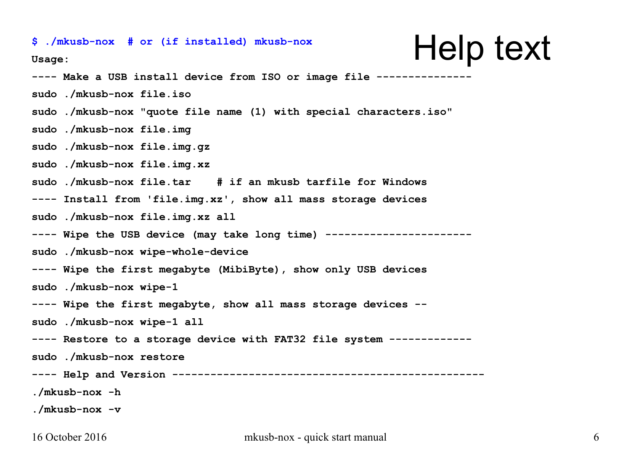#### \$ ./mkusb-nox # or (if installed) mkusb-nox  $\blacksquare$  **Help text Usage: ---- Make a USB install device from ISO or image file -------------- sudo ./mkusb-nox file.iso sudo ./mkusb-nox "quote file name (1) with special characters.iso" sudo ./mkusb-nox file.img sudo ./mkusb-nox file.img.gz sudo ./mkusb-nox file.img.xz sudo ./mkusb-nox file.tar # if an mkusb tarfile for Windows ---- Install from 'file.img.xz', show all mass storage devices sudo ./mkusb-nox file.img.xz all** ---- Wipe the USB device (may take long time) -------**sudo ./mkusb-nox wipe-whole-device ---- Wipe the first megabyte (MibiByte), show only USB devices sudo ./mkusb-nox wipe-1 ---- Wipe the first megabyte, show all mass storage devices - sudo ./mkusb-nox wipe-1 all ---- Restore to a storage device with FAT32 file system ------------ sudo ./mkusb-nox restore ---- Help and Version ------------------------------------------------- ./mkusb-nox -h ./mkusb-nox -v**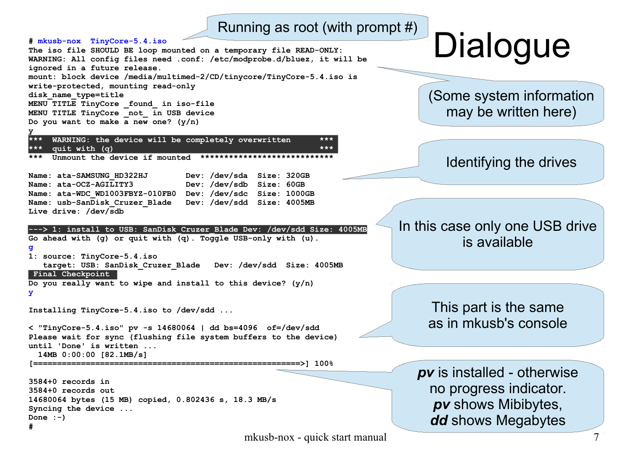#### Running as root (with prompt #)



mkusb-nox - quick start manual 7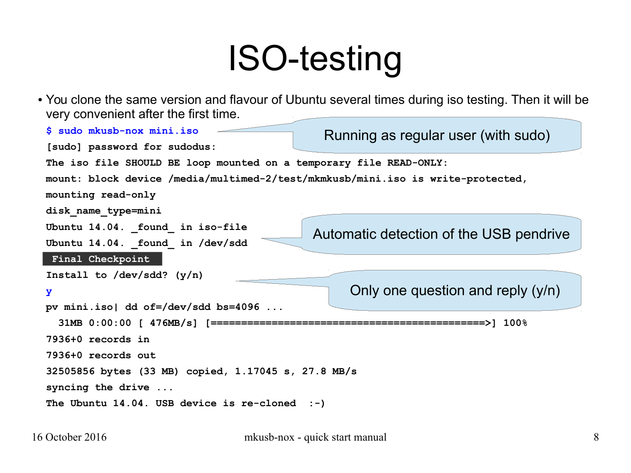### ISO-testing

• You clone the same version and flavour of Ubuntu several times during iso testing. Then it will be very convenient after the first time.

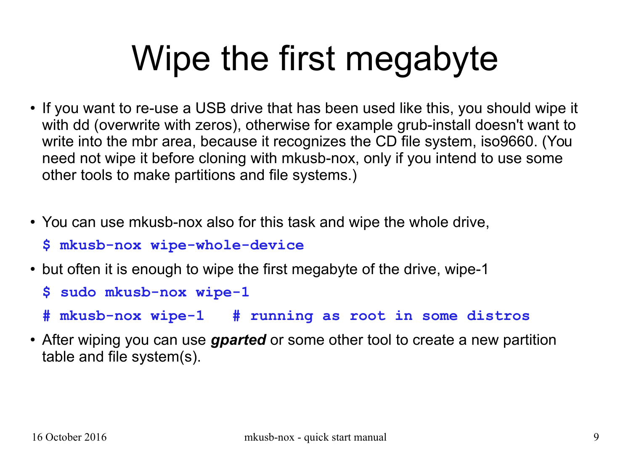# Wipe the first megabyte

- If you want to re-use a USB drive that has been used like this, you should wipe it with dd (overwrite with zeros), otherwise for example grub-install doesn't want to write into the mbr area, because it recognizes the CD file system, iso9660. (You need not wipe it before cloning with mkusb-nox, only if you intend to use some other tools to make partitions and file systems.)
- You can use mkusb-nox also for this task and wipe the whole drive,
	- **\$ mkusb-nox wipe-whole-device**
- but often it is enough to wipe the first megabyte of the drive, wipe-1
	- **\$ sudo mkusb-nox wipe-1**
	- **# mkusb-nox wipe-1 # running as root in some distros**
- After wiping you can use *gparted* or some other tool to create a new partition table and file system(s).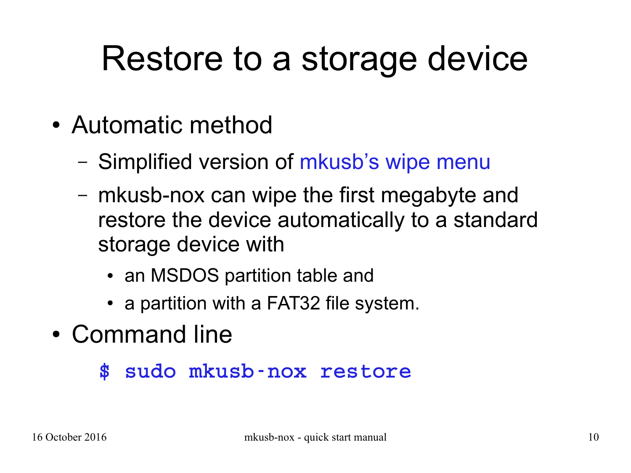### Restore to a storage device

- Automatic method
	- Simplified version of [mkusb's wipe menu](https://help.ubuntu.com/community/mkusb/wipe)
	- mkusb-nox can wipe the first megabyte and restore the device automatically to a standard storage device with
		- an MSDOS partition table and
		- a partition with a FAT32 file system.
- Command line
	- \$ sudo mkusb-nox restore